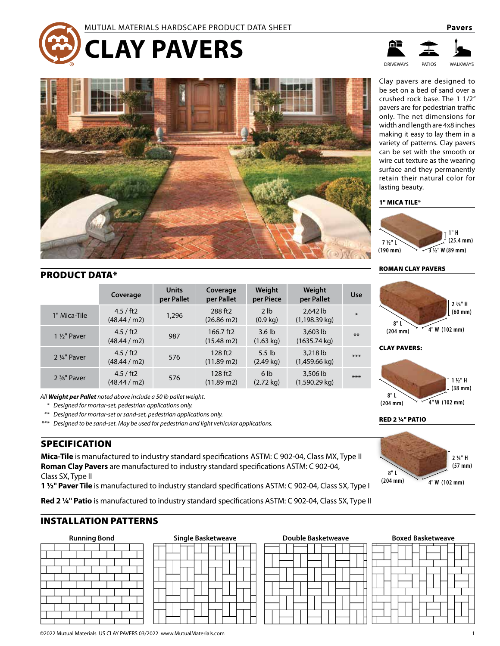



# PRODUCT DATA\*

|                        | Coverage                | <b>Units</b><br>per Pallet | Coverage<br>per Pallet            | Weight<br>per Piece                      | Weight<br>per Pallet                 | <b>Use</b> |
|------------------------|-------------------------|----------------------------|-----------------------------------|------------------------------------------|--------------------------------------|------------|
| 1" Mica-Tile           | 4.5 / ft2<br>(48.44/m2) | 1,296                      | 288 ft2<br>$(26.86 \text{ m2})$   | 2 <sub>1b</sub><br>$(0.9 \text{ kg})$    | 2,642 lb<br>$(1, 198.39 \text{ kg})$ | $*$        |
| $1\frac{1}{2}$ " Paver | 4.5 / ft2<br>(48.44/m2) | 987                        | 166.7 ft2<br>$(15.48 \text{ m2})$ | 3.6 <sub>lb</sub><br>$(1.63 \text{ kg})$ | $3,603$ lb<br>$(1635.74 \text{ kg})$ | $***$      |
| 2 1/4" Paver           | 4.5 / ft2<br>(48.44/m2) | 576                        | 128 ft2<br>$(11.89 \text{ m2})$   | $5.5$ lb<br>$(2.49 \text{ kg})$          | 3.218 lb<br>$(1,459.66 \text{ kg})$  | $***$      |
| 2 %" Paver             | 4.5 / ft2<br>(48.44/m2) | 576                        | 128 ft2<br>$(11.89 \text{ m2})$   | 6 <sub>1b</sub><br>$(2.72 \text{ kg})$   | 3,506 lb<br>$(1,590.29$ kg)          | $***$      |

*All Weight per Pallet noted above include a 50 lb pallet weight.*

*\* Designed for mortar-set, pedestrian applications only.*

*\*\* Designed for mortar-set or sand-set, pedestrian applications only.*

*\*\*\* Designed to be sand-set. May be used for pedestrian and light vehicular applications.*

# SPECIFICATION

**Mica-Tile** is manufactured to industry standard specifications ASTM: C 902-04, Class MX, Type II **Roman Clay Pavers** are manufactured to industry standard specifications ASTM: C 902-04, Class SX, Type II

**1 ½" Paver Tile** is manufactured to industry standard specifications ASTM: C 902-04, Class SX, Type I

**Red 2 ¼" Patio** is manufactured to industry standard specifications ASTM: C 902-04, Class SX, Type II

# INSTALLATION PATTERNS



| <b>Running Bond</b> | <b>Single Basketweave</b> | <b>Double Basketweave</b> | <b>Boxed Basketweave</b> |  |  |  |
|---------------------|---------------------------|---------------------------|--------------------------|--|--|--|
|                     |                           |                           |                          |  |  |  |

| <b>Double Basketweave</b> |  |  |  |  |  |  |  |  |  |  |
|---------------------------|--|--|--|--|--|--|--|--|--|--|
|                           |  |  |  |  |  |  |  |  |  |  |
|                           |  |  |  |  |  |  |  |  |  |  |
|                           |  |  |  |  |  |  |  |  |  |  |
|                           |  |  |  |  |  |  |  |  |  |  |
|                           |  |  |  |  |  |  |  |  |  |  |
|                           |  |  |  |  |  |  |  |  |  |  |

**8" L (204 mm)**

width and length are 4x8 inches making it easy to lay them in a variety of patterns. Clay pavers can be set with the smooth or wire cut texture as the wearing surface and they permanently retain their natural color for lasting beauty.

Clay pavers are designed to be set on a bed of sand over a crushed rock base. The 1 1/2" pavers are for pedestrian traffic only. The net dimensions for

DRIVEWAYS PATIOS WALKWAYS

# 1" MICA TILE®



# ROMAN CLAY PAVERS



# CLAY PAVERS:



RED 2 ¼" PATIO





# ©2022 Mutual Materials US CLAY PAVERS 03/2022 www.MutualMaterials.com 1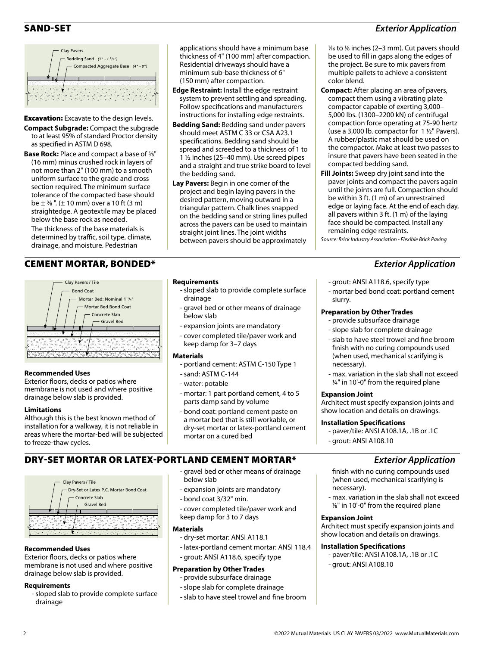# SAND-SET *Exterior Application*



**Excavation:** Excavate to the design levels.

- **Compact Subgrade:** Compact the subgrade to at least 95% of standard Proctor density as specified in ASTM D 698.
- **Base Rock:** Place and compact a base of 5⁄8" (16 mm) minus crushed rock in layers of not more than 2" (100 mm) to a smooth uniform surface to the grade and cross section required. The minimum surface tolerance of the compacted base should be  $\pm$  3/8". ( $\pm$  10 mm) over a 10 ft (3 m) straightedge. A geotextile may be placed below the base rock as needed.

The thickness of the base materials is determined by traffic, soil type, climate, drainage, and moisture. Pedestrian

# CEMENT MORTAR, BONDED\* *Exterior Application*



# **Recommended Uses**

Exterior floors, decks or patios where membrane is not used and where positive drainage below slab is provided.

# **Limitations**

Although this is the best known method of installation for a walkway, it is not reliable in areas where the mortar-bed will be subjected to freeze-thaw cycles.

# DRY-SET MORTAR OR LATEX-PORTLAND CEMENT MORTAR\* *Exterior Application*



# **Recommended Uses**

Exterior floors, decks or patios where membrane is not used and where positive drainage below slab is provided.

# **Requirements**

- sloped slab to provide complete surface drainage

applications should have a minimum base thickness of 4" (100 mm) after compaction. Residential driveways should have a minimum sub-base thickness of 6" (150 mm) after compaction.

- **Edge Restraint:** Install the edge restraint system to prevent settling and spreading. Follow specifications and manufacturers instructions for installing edge restraints.
- **Bedding Sand:** Bedding sand under pavers should meet ASTM C 33 or CSA A23.1 specifications. Bedding sand should be spread and screeded to a thickness of 1 to 1 ½ inches (25–40 mm). Use screed pipes and a straight and true strike board to level the bedding sand.
- **Lay Pavers:** Begin in one corner of the project and begin laying pavers in the desired pattern, moving outward in a triangular pattern. Chalk lines snapped on the bedding sand or string lines pulled across the pavers can be used to maintain straight joint lines. The joint widths between pavers should be approximately

# **Requirements**

- sloped slab to provide complete surface drainage
- gravel bed or other means of drainage below slab
- expansion joints are mandatory
- cover completed tile/paver work and keep damp for 3–7 days

## **Materials**

- portland cement: ASTM C-150 Type 1
- sand: ASTM C-144
- water: potable

below slab

**Materials** 

- bond coat 3/32" min.

keep damp for 3 to 7 days

**Preparation by Other Trades** - provide subsurface drainage - slope slab for complete drainage - slab to have steel trowel and fine broom

- dry-set mortar: ANSI A118.1

- grout: ANSI A118.6, specify type

- mortar: 1 part portland cement, 4 to 5 parts damp sand by volume
- bond coat: portland cement paste on a mortar bed that is still workable, or dry-set mortar or latex-portland cement mortar on a cured bed

- gravel bed or other means of drainage

- cover completed tile/paver work and

- latex-portland cement mortar: ANSI 118.4

- expansion joints are mandatory

#### 1⁄16 to 1⁄8 inches (2–3 mm). Cut pavers should be used to fill in gaps along the edges of the project. Be sure to mix pavers from multiple pallets to achieve a consistent color blend.

- **Compact:** After placing an area of pavers, compact them using a vibrating plate compactor capable of exerting 3,000– 5,000 lbs. (1300–2200 kN) of centrifugal compaction force operating at 75-90 hertz (use a 3,000 lb. compactor for  $1 \frac{1}{2}$ " Pavers). A rubber/plastic mat should be used on the compactor. Make at least two passes to insure that pavers have been seated in the compacted bedding sand.
- **Fill Joints:** Sweep dry joint sand into the paver joints and compact the pavers again until the joints are full. Compaction should be within 3 ft. (1 m) of an unrestrained edge or laying face. At the end of each day, all pavers within 3 ft. (1 m) of the laying face should be compacted. Install any remaining edge restraints.

*Source: Brick Industry Association - Flexible Brick Paving*

- grout: ANSI A118.6, specify type
- mortar bed bond coat: portland cement slurry.

# **Preparation by Other Trades**

- provide subsurface drainage
- slope slab for complete drainage
- slab to have steel trowel and fine broom finish with no curing compounds used (when used, mechanical scarifying is necessary).
- max. variation in the slab shall not exceed ¼" in 10'-0" from the required plane

# **Expansion Joint**

Architect must specify expansion joints and show location and details on drawings.

# **Installation Specifications**

- paver/tile: ANSI A108.1A, .1B or .1C
- grout: ANSI A108.10

- finish with no curing compounds used (when used, mechanical scarifying is necessary).
- max. variation in the slab shall not exceed 1⁄8" in 10'-0" from the required plane

# **Expansion Joint**

Architect must specify expansion joints and show location and details on drawings.

# **Installation Specifications**

- paver/tile: ANSI A108.1A, .1B or .1C - grout: ANSI A108.10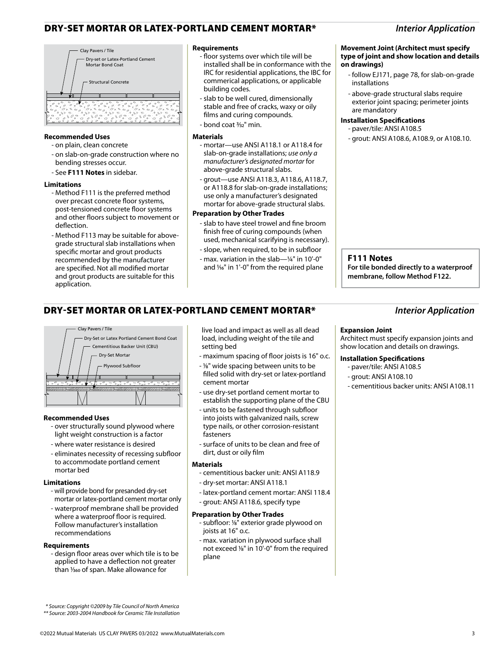# DRY-SET MORTAR OR LATEX-PORTLAND CEMENT MORTAR\* *Interior Application*



## **Recommended Uses**

- on plain, clean concrete
- on slab-on-grade construction where no bending stresses occur.
- See **F111 Notes** in sidebar.

## **Limitations**

- Method F111 is the preferred method over precast concrete floor systems, post-tensioned concrete floor systems and other floors subject to movement or deflection.
- Method F113 may be suitable for abovegrade structural slab installations when specific mortar and grout products recommended by the manufacturer are specified. Not all modified mortar and grout products are suitable for this application.

## **Requirements**

- floor systems over which tile will be installed shall be in conformance with the IRC for residential applications, the IBC for commerical applications, or applicable building codes.
- slab to be well cured, dimensionally stable and free of cracks, waxy or oily films and curing compounds.
- bond coat 3⁄32" min.

#### **Materials**

- mortar—use ANSI A118.1 or A118.4 for slab-on-grade installations; *use only a manufacturer's designated mortar* for above-grade structural slabs.
- grout—use ANSI A118.3, A118.6, A118.7, or A118.8 for slab-on-grade installations; use only a manufacturer's designated mortar for above-grade structural slabs.

## **Preparation by Other Trades**

- slab to have steel trowel and fine broom finish free of curing compounds (when used, mechanical scarifying is necessary).
- slope, when required, to be in subfloor
- max. variation in the slab—¼" in 10'-0" and  $\frac{1}{6}$ " in 1'-0" from the required plane

# **Movement Joint (Architect must specify type of joint and show location and details**

- follow EJ171, page 78, for slab-on-grade installations
- above-grade structural slabs require exterior joint spacing; perimeter joints are mandatory

# **Installation Specifications**

**on drawings)**

- paver/tile: ANSI A108.5
- grout: ANSI A108.6, A108.9, or A108.10.

## **F111 Notes**

**For tile bonded directly to a waterproof membrane, follow Method F122.**

# DRY-SET MORTAR OR LATEX-PORTLAND CEMENT MORTAR\* *Interior Application*



## **Recommended Uses**

- over structurally sound plywood where light weight construction is a factor
- where water resistance is desired
- eliminates necessity of recessing subfloor to accommodate portland cement mortar bed

## **Limitations**

- will provide bond for presanded dry-set mortar or latex-portland cement mortar only
- waterproof membrane shall be provided where a waterproof floor is required. Follow manufacturer's installation recommendations

## **Requirements**

- design floor areas over which tile is to be applied to have a deflection not greater than  $\frac{1}{360}$  of span. Make allowance for

live load and impact as well as all dead load, including weight of the tile and setting bed

- maximum spacing of floor joists is 16" o.c.
- 1⁄8" wide spacing between units to be filled solid with dry-set or latex-portland cement mortar
- use dry-set portland cement mortar to establish the supporting plane of the CBU
- units to be fastened through subfloor into joists with galvanized nails, screw type nails, or other corrosion-resistant fasteners
- surface of units to be clean and free of dirt, dust or oily film

## **Materials**

- cementitious backer unit: ANSI A118.9
- dry-set mortar: ANSI A118.1
- latex-portland cement mortar: ANSI 118.4
- grout: ANSI A118.6, specify type

## **Preparation by Other Trades**

- subfloor: 1⁄8" exterior grade plywood on joists at 16" o.c.
- max. variation in plywood surface shall not exceed 1/8" in 10'-0" from the required plane

# **Expansion Joint**

Architect must specify expansion joints and show location and details on drawings.

## **Installation Specifications**

- paver/tile: ANSI A108.5
- grout: ANSI A108.10
- cementitious backer units: ANSI A108.11

 *\* Source: Copyright ©2009 by Tile Council of North America \*\* Source: 2003-2004 Handbook for Ceramic Tile Installation*